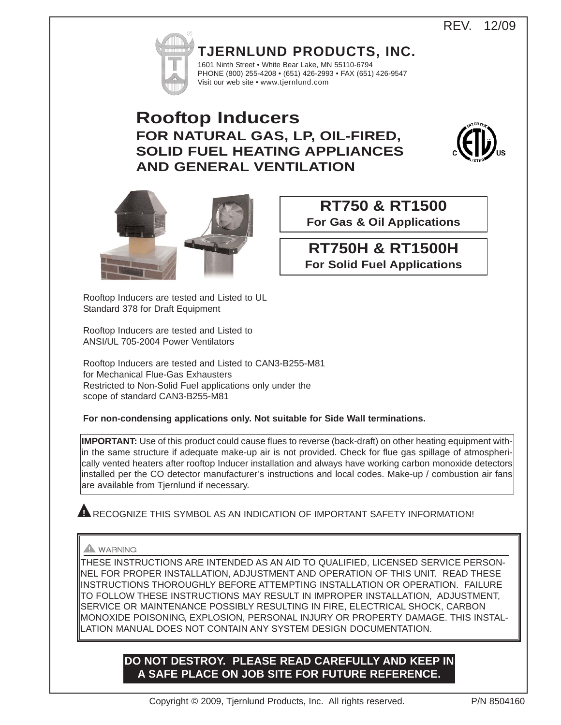REV. 12/09



**TJERNLUND PRODUCTS, INC.** 1601 Ninth Street • White Bear Lake, MN 55110-6794 PHONE (800) 255-4208 • (651) 426-2993 • FAX (651) 426-9547

# **Rooftop Inducers FOR NATURAL GAS, LP, OIL-FIRED, SOLID FUEL HEATING APPLIANCES AND GENERAL VENTILATION**

Visit our web site • www.tjernlund.com





# **RT750 & RT1500 For Gas & Oil Applications**

**RT750H & RT1500H**

**For Solid Fuel Applications**

Rooftop Inducers are tested and Listed to UL Standard 378 for Draft Equipment

Rooftop Inducers are tested and Listed to ANSI/UL 705-2004 Power Ventilators

Rooftop Inducers are tested and Listed to CAN3-B255-M81 for Mechanical Flue-Gas Exhausters Restricted to Non-Solid Fuel applications only under the scope of standard CAN3-B255-M81

**For non-condensing applications only. Not suitable for Side Wall terminations.**

**IMPORTANT:** Use of this product could cause flues to reverse (back-draft) on other heating equipment within the same structure if adequate make-up air is not provided. Check for flue gas spillage of atmospherically vented heaters after rooftop Inducer installation and always have working carbon monoxide detectors installed per the CO detector manufacturer's instructions and local codes. Make-up / combustion air fans are available from Tjernlund if necessary.

RECOGNIZE THIS SYMBOL AS AN INDICATION OF IMPORTANT SAFETY INFORMATION! **!**

# WARNING

THESE INSTRUCTIONS ARE INTENDED AS AN AID TO QUALIFIED, LICENSED SERVICE PERSON-NEL FOR PROPER INSTALLATION, ADJUSTMENT AND OPERATION OF THIS UNIT. READ THESE INSTRUCTIONS THOROUGHLY BEFORE ATTEMPTING INSTALLATION OR OPERATION. FAILURE TO FOLLOW THESE INSTRUCTIONS MAY RESULT IN IMPROPER INSTALLATION, ADJUSTMENT, SERVICE OR MAINTENANCE POSSIBLY RESULTING IN FIRE, ELECTRICAL SHOCK, CARBON MONOXIDE POISONING, EXPLOSION, PERSONAL INJURY OR PROPERTY DAMAGE. THIS INSTAL-LATION MANUAL DOES NOT CONTAIN ANY SYSTEM DESIGN DOCUMENTATION.

# **DO NOT DESTROY. PLEASE READ CAREFULLY AND KEEP IN A SAFE PLACE ON JOB SITE FOR FUTURE REFERENCE.**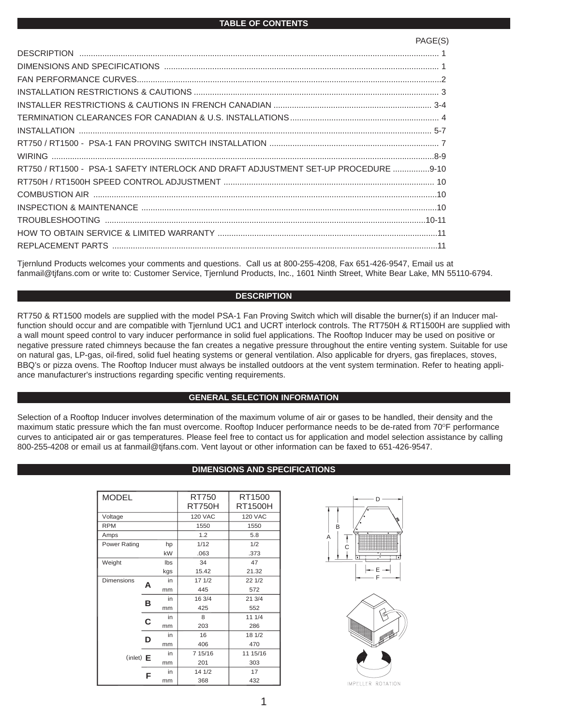| RT750 / RT1500 - PSA-1 SAFETY INTERLOCK AND DRAFT ADJUSTMENT SET-UP PROCEDURE 9-10 |  |
|------------------------------------------------------------------------------------|--|
|                                                                                    |  |
|                                                                                    |  |
|                                                                                    |  |
|                                                                                    |  |
|                                                                                    |  |
|                                                                                    |  |
|                                                                                    |  |

Tjernlund Products welcomes your comments and questions. Call us at 800-255-4208, Fax 651-426-9547, Email us at fanmail@tjfans.com or write to: Customer Service, Tjernlund Products, Inc., 1601 Ninth Street, White Bear Lake, MN 55110-6794.

#### **DESCRIPTION**

RT750 & RT1500 models are supplied with the model PSA-1 Fan Proving Switch which will disable the burner(s) if an Inducer malfunction should occur and are compatible with Tjernlund UC1 and UCRT interlock controls. The RT750H & RT1500H are supplied with a wall mount speed control to vary inducer performance in solid fuel applications. The Rooftop Inducer may be used on positive or negative pressure rated chimneys because the fan creates a negative pressure throughout the entire venting system. Suitable for use on natural gas, LP-gas, oil-fired, solid fuel heating systems or general ventilation. Also applicable for dryers, gas fireplaces, stoves, BBQ's or pizza ovens. The Rooftop Inducer must always be installed outdoors at the vent system termination. Refer to heating appliance manufacturer's instructions regarding specific venting requirements.

#### **GENERAL SELECTION INFORMATION**

Selection of a Rooftop Inducer involves determination of the maximum volume of air or gases to be handled, their density and the maximum static pressure which the fan must overcome. Rooftop Inducer performance needs to be de-rated from 70°F performance curves to anticipated air or gas temperatures. Please feel free to contact us for application and model selection assistance by calling 800-255-4208 or email us at fanmail@tjfans.com. Vent layout or other information can be faxed to 651-426-9547.

## **DIMENSIONS AND SPECIFICATIONS**

| <b>MODEL</b>       |    |      | RT750<br>RT750H | RT1500<br>RT1500H |
|--------------------|----|------|-----------------|-------------------|
| Voltage            |    |      | <b>120 VAC</b>  | <b>120 VAC</b>    |
| <b>RPM</b>         |    |      | 1550            | 1550              |
| Amps               |    |      | 1.2             | 5.8               |
| Power Rating<br>hp |    | 1/12 | 1/2             |                   |
|                    |    | kW   | .063            | .373              |
| Weight             |    | Ibs  | 34              | 47                |
|                    |    | kgs  | 15.42           | 21.32             |
| <b>Dimensions</b>  | A  | in   | 17 1/2          | 221/2             |
|                    |    | mm   | 445             | 572               |
|                    | в  | in   | 16 3/4          | 21 3/4            |
|                    |    | mm   | 425             | 552               |
|                    | C  | in   | 8               | 11 1/4            |
|                    |    | mm   | 203             | 286               |
|                    | D  | in   | 16              | 18 1/2            |
|                    |    | mm   | 406             | 470               |
| $(inlet)$ $E$      | in |      | 7 15/16         | 11 15/16          |
|                    |    | mm   | 201             | 303               |
|                    | F  | in   | 14 1/2          | 17                |
|                    |    | mm   | 368             | 432               |

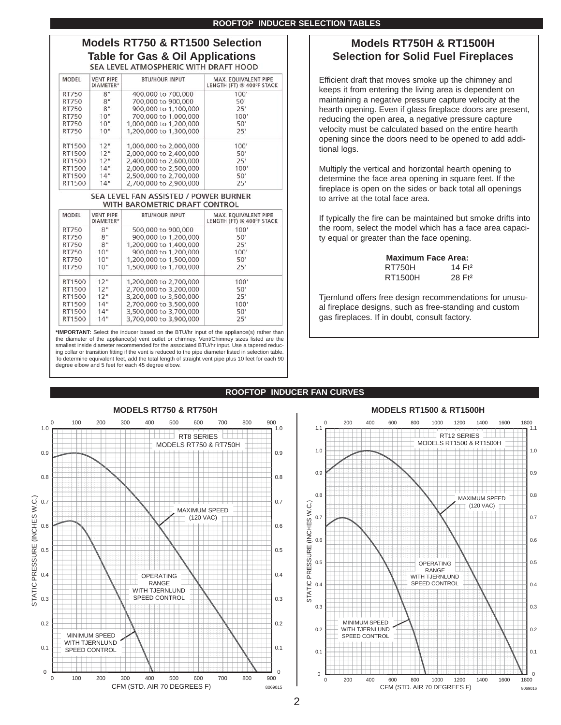# **Models RT750 & RT1500 Selection Table for Gas & Oil Applications**

| <b>MODEL</b> | <b>VENT PIPE</b><br>DIAMETER* | <b>BTU/HOUR INPUT</b>  | MAX. EOUIVALENT PIPE<br>LENGTH (FT) @ 400°F STACK |
|--------------|-------------------------------|------------------------|---------------------------------------------------|
| RT750        | 8"                            | 400,000 to 700,000     | 100'                                              |
| RT750        | 8"                            | 700,000 to 900,000     | 50'                                               |
| RT750        | 8"                            | 900,000 to 1,100,000   | 25'                                               |
| RT750        | 10"                           | 700,000 to 1,000,000   | 100'                                              |
| RT750        | 10"                           | 1,000,000 to 1,200,000 | 50'                                               |
| RT750        | 10"                           | 1,200,000 to 1,300,000 | 25'                                               |
| RT1500       | 12"                           | 1,000,000 to 2,000,000 | 100'                                              |
| RT1500       | 12"                           | 2,000,000 to 2,400,000 | 50'                                               |
| RT1500       | 12"                           | 2,400,000 to 2,600,000 | 25'                                               |
| RT1500       | 14"                           | 2,000,000 to 2,500,000 | 100'                                              |
| RT1500       | 14"                           | 2,500,000 to 2,700,000 | 50'                                               |
| RT1500       | 14"                           | 2,700,000 to 2,900,000 | 25'                                               |

#### SEA LEVEL FAN ASSISTED / POWER BURNER WITH BAROMETRIC DRAFT CONTROL

| MODEL  | <b>VENT PIPE</b><br>DIAMETER* | <b>BTU/HOUR INPUT</b>  | MAX. EQUIVALENT PIPE<br>LENGTH (FT) @ 400°F STACK |
|--------|-------------------------------|------------------------|---------------------------------------------------|
| RT750  | 8"                            | 500,000 to 900,000     | 100'                                              |
| RT750  | 8"                            | 900,000 to 1,200,000   | 50'                                               |
| RT750  | 8"                            | 1,200,000 to 1,400,000 | 25'                                               |
| RT750  | 10"                           | 900,000 to 1,200,000   | 100'                                              |
| RT750  | 10"                           | 1,200,000 to 1,500,000 | 50'                                               |
| RT750  | 10"                           | 1,500,000 to 1,700,000 | 25'                                               |
| RT1500 | 12"                           | 1,200,000 to 2,700,000 | 100'                                              |
| RT1500 | 12"                           | 2.700,000 to 3.200,000 | 50'                                               |
| RT1500 | 12"                           | 3,200,000 to 3,500,000 | 25'                                               |
| RT1500 | 14"                           | 2,700,000 to 3,500,000 | 100'                                              |
| RT1500 | 14"                           | 3,500,000 to 3,700,000 | 50'                                               |
| RT1500 | 14"                           | 3,700,000 to 3,900,000 | 25'                                               |

**\*IMPORTANT:** Select the inducer based on the BTU/hr input of the appliance(s) rather than the diameter of the appliance(s) vent outlet or chimney. Vent/Chimney sizes listed are the smallest inside diameter recommended for the associated BTU/hr input. Use a tapered reducing collar or transition fitting if the vent is reduced to the pipe diameter listed in selection table. To determine equivalent feet, add the total length of straight vent pipe plus 10 feet for each 90 degree elbow and 5 feet for each 45 degree elbow.

# **Models RT750H & RT1500H Selection for Solid Fuel Fireplaces**

Efficient draft that moves smoke up the chimney and keeps it from entering the living area is dependent on maintaining a negative pressure capture velocity at the hearth opening. Even if glass fireplace doors are present, reducing the open area, a negative pressure capture velocity must be calculated based on the entire hearth opening since the doors need to be opened to add additional logs.

Multiply the vertical and horizontal hearth opening to determine the face area opening in square feet. If the fireplace is open on the sides or back total all openings to arrive at the total face area.

If typically the fire can be maintained but smoke drifts into the room, select the model which has a face area capacity equal or greater than the face opening.

|         | <b>Maximum Face Area:</b> |
|---------|---------------------------|
| RT750H  | 14 Ft <sup>2</sup>        |
| RT1500H | 28 Ft <sub>2</sub>        |

Tjernlund offers free design recommendations for unusual fireplace designs, such as free-standing and custom gas fireplaces. If in doubt, consult factory.

# **ROOFTOP INDUCER FAN CURVES**





# 2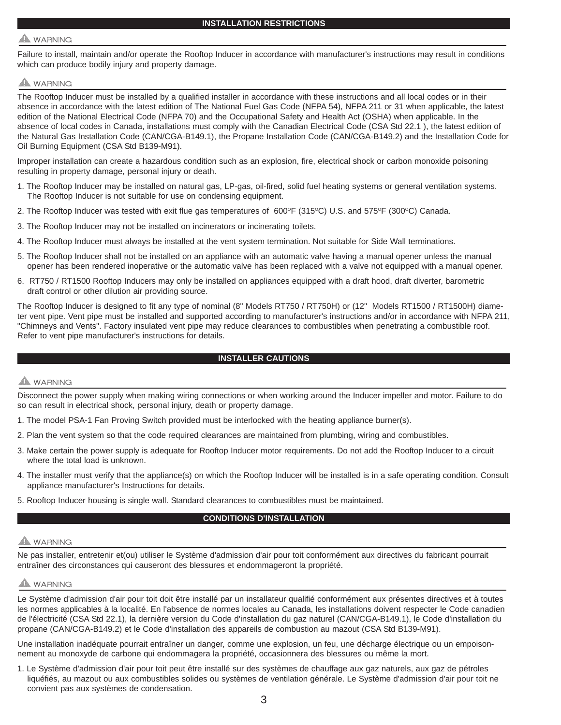# **WARNING**

Failure to install, maintain and/or operate the Rooftop Inducer in accordance with manufacturer's instructions may result in conditions which can produce bodily injury and property damage.

# **WARNING**

The Rooftop Inducer must be installed by a qualified installer in accordance with these instructions and all local codes or in their absence in accordance with the latest edition of The National Fuel Gas Code (NFPA 54), NFPA 211 or 31 when applicable, the latest edition of the National Electrical Code (NFPA 70) and the Occupational Safety and Health Act (OSHA) when applicable. In the absence of local codes in Canada, installations must comply with the Canadian Electrical Code (CSA Std 22.1 ), the latest edition of the Natural Gas Installation Code (CAN/CGA-B149.1), the Propane Installation Code (CAN/CGA-B149.2) and the Installation Code for Oil Burning Equipment (CSA Std B139-M91).

Improper installation can create a hazardous condition such as an explosion, fire, electrical shock or carbon monoxide poisoning resulting in property damage, personal injury or death.

- 1. The Rooftop Inducer may be installed on natural gas, LP-gas, oil-fired, solid fuel heating systems or general ventilation systems. The Rooftop Inducer is not suitable for use on condensing equipment.
- 2. The Rooftop Inducer was tested with exit flue gas temperatures of 600°F (315°C) U.S. and 575°F (300°C) Canada.
- 3. The Rooftop Inducer may not be installed on incinerators or incinerating toilets.
- 4. The Rooftop Inducer must always be installed at the vent system termination. Not suitable for Side Wall terminations.
- 5. The Rooftop Inducer shall not be installed on an appliance with an automatic valve having a manual opener unless the manual opener has been rendered inoperative or the automatic valve has been replaced with a valve not equipped with a manual opener.
- 6. RT750 / RT1500 Rooftop Inducers may only be installed on appliances equipped with a draft hood, draft diverter, barometric draft control or other dilution air providing source.

The Rooftop Inducer is designed to fit any type of nominal (8" Models RT750 / RT750H) or (12" Models RT1500 / RT1500H) diameter vent pipe. Vent pipe must be installed and supported according to manufacturer's instructions and/or in accordance with NFPA 211, "Chimneys and Vents". Factory insulated vent pipe may reduce clearances to combustibles when penetrating a combustible roof. Refer to vent pipe manufacturer's instructions for details.

## **INSTALLER CAUTIONS**

# $\blacktriangle$  WARNING

Disconnect the power supply when making wiring connections or when working around the Inducer impeller and motor. Failure to do so can result in electrical shock, personal injury, death or property damage.

- 1. The model PSA-1 Fan Proving Switch provided must be interlocked with the heating appliance burner(s).
- 2. Plan the vent system so that the code required clearances are maintained from plumbing, wiring and combustibles.
- 3. Make certain the power supply is adequate for Rooftop Inducer motor requirements. Do not add the Rooftop Inducer to a circuit where the total load is unknown.
- 4. The installer must verify that the appliance(s) on which the Rooftop Inducer will be installed is in a safe operating condition. Consult appliance manufacturer's Instructions for details.
- 5. Rooftop Inducer housing is single wall. Standard clearances to combustibles must be maintained.

## **CONDITIONS D'INSTALLATION**

# **WARNING**

Ne pas installer, entretenir et(ou) utiliser le Système d'admission d'air pour toit conformément aux directives du fabricant pourrait entraîner des circonstances qui causeront des blessures et endommageront la propriété.

# **WARNING**

Le Système d'admission d'air pour toit doit être installé par un installateur qualifié conformément aux présentes directives et à toutes les normes applicables à la localité. En l'absence de normes locales au Canada, les installations doivent respecter le Code canadien de l'électricité (CSA Std 22.1), la dernière version du Code d'installation du gaz naturel (CAN/CGA-B149.1), le Code d'installation du propane (CAN/CGA-B149.2) et le Code d'installation des appareils de combustion au mazout (CSA Std B139-M91).

Une installation inadéquate pourrait entraîner un danger, comme une explosion, un feu, une décharge électrique ou un empoisonnement au monoxyde de carbone qui endommagera la propriété, occasionnera des blessures ou même la mort.

1. Le Système d'admission d'air pour toit peut être installé sur des systèmes de chauffage aux gaz naturels, aux gaz de pétroles liquéfiés, au mazout ou aux combustibles solides ou systèmes de ventilation générale. Le Système d'admission d'air pour toit ne convient pas aux systèmes de condensation.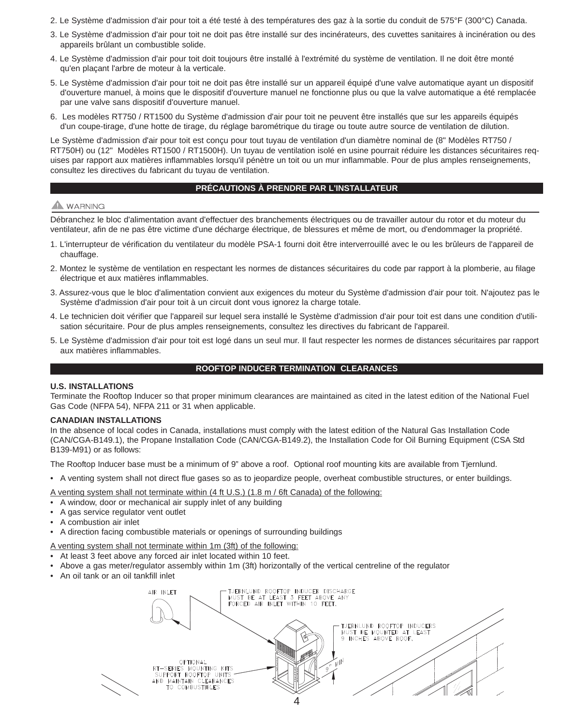- 2. Le Système d'admission d'air pour toit a été testé à des températures des gaz à la sortie du conduit de 575°F (300°C) Canada.
- 3. Le Système d'admission d'air pour toit ne doit pas être installé sur des incinérateurs, des cuvettes sanitaires à incinération ou des appareils brûlant un combustible solide.
- 4. Le Système d'admission d'air pour toit doit toujours être installé à l'extrémité du système de ventilation. Il ne doit être monté qu'en plaçant l'arbre de moteur à la verticale.
- 5. Le Système d'admission d'air pour toit ne doit pas être installé sur un appareil équipé d'une valve automatique ayant un dispositif d'ouverture manuel, à moins que le dispositif d'ouverture manuel ne fonctionne plus ou que la valve automatique a été remplacée par une valve sans dispositif d'ouverture manuel.
- 6. Les modèles RT750 / RT1500 du Système d'admission d'air pour toit ne peuvent être installés que sur les appareils équipés d'un coupe-tirage, d'une hotte de tirage, du réglage barométrique du tirage ou toute autre source de ventilation de dilution.

Le Système d'admission d'air pour toit est conçu pour tout tuyau de ventilation d'un diamètre nominal de (8" Modèles RT750 / RT750H) ou (12" Modèles RT1500 / RT1500H). Un tuyau de ventilation isolé en usine pourrait réduire les distances sécuritaires requises par rapport aux matières inflammables lorsqu'il pénètre un toit ou un mur inflammable. Pour de plus amples renseignements, consultez les directives du fabricant du tuyau de ventilation.

#### **PRÉCAUTIONS À PRENDRE PAR L'INSTALLATEUR**

# **A** WARNING

Débranchez le bloc d'alimentation avant d'effectuer des branchements électriques ou de travailler autour du rotor et du moteur du ventilateur, afin de ne pas être victime d'une décharge électrique, de blessures et même de mort, ou d'endommager la propriété.

- 1. L'interrupteur de vérification du ventilateur du modèle PSA-1 fourni doit être interverrouillé avec le ou les brûleurs de l'appareil de chauffage.
- 2. Montez le système de ventilation en respectant les normes de distances sécuritaires du code par rapport à la plomberie, au filage électrique et aux matières inflammables.
- 3. Assurez-vous que le bloc d'alimentation convient aux exigences du moteur du Système d'admission d'air pour toit. N'ajoutez pas le Système d'admission d'air pour toit à un circuit dont vous ignorez la charge totale.
- 4. Le technicien doit vérifier que l'appareil sur lequel sera installé le Système d'admission d'air pour toit est dans une condition d'utilisation sécuritaire. Pour de plus amples renseignements, consultez les directives du fabricant de l'appareil.
- 5. Le Système d'admission d'air pour toit est logé dans un seul mur. Il faut respecter les normes de distances sécuritaires par rapport aux matières inflammables.

#### **ROOFTOP INDUCER TERMINATION CLEARANCES**

#### **U.S. INSTALLATIONS**

Terminate the Rooftop Inducer so that proper minimum clearances are maintained as cited in the latest edition of the National Fuel Gas Code (NFPA 54), NFPA 211 or 31 when applicable.

#### **CANADIAN INSTALLATIONS**

In the absence of local codes in Canada, installations must comply with the latest edition of the Natural Gas Installation Code (CAN/CGA-B149.1), the Propane Installation Code (CAN/CGA-B149.2), the Installation Code for Oil Burning Equipment (CSA Std B139-M91) or as follows:

The Rooftop Inducer base must be a minimum of 9" above a roof. Optional roof mounting kits are available from Tjernlund.

• A venting system shall not direct flue gases so as to jeopardize people, overheat combustible structures, or enter buildings.

A venting system shall not terminate within (4 ft U.S.) (1.8 m / 6ft Canada) of the following:

- A window, door or mechanical air supply inlet of any building
- A gas service regulator vent outlet
- A combustion air inlet
- A direction facing combustible materials or openings of surrounding buildings

A venting system shall not terminate within 1m (3ft) of the following:

- At least 3 feet above any forced air inlet located within 10 feet.
- Above a gas meter/regulator assembly within 1m (3ft) horizontally of the vertical centreline of the regulator
- An oil tank or an oil tankfill inlet

TJERNLUND ROOFTOP INDUCER DISCHARGE<br>MUST BE AT LEAST 3 FEET ABOVE ANY AIR INLET MUST BE AT LEAST 3 FEET ABOVE<br>FORCED AIR INLET WITHIN 10 FEET. TJERNLUND ROOFTOP INDUCERS<br>MUST BE MOUNTED AT LEAST INCHES ABOVE ROOF.  $\mathbb{R}$  $PTI<sub>Q</sub>NA$ RT-SERIES MOUNTING KITS<br>SUPPORT ROOFTOP UNITS 1/1 TO COMBUSTIBLES 4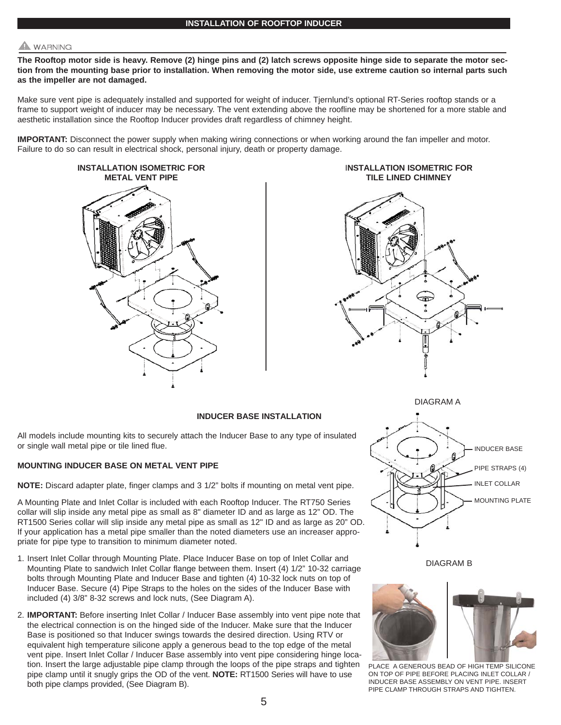# **WARNING**

**The Rooftop motor side is heavy. Remove (2) hinge pins and (2) latch screws opposite hinge side to separate the motor section from the mounting base prior to installation. When removing the motor side, use extreme caution so internal parts such as the impeller are not damaged.**

Make sure vent pipe is adequately installed and supported for weight of inducer. Tjernlund's optional RT-Series rooftop stands or a frame to support weight of inducer may be necessary. The vent extending above the roofline may be shortened for a more stable and aesthetic installation since the Rooftop Inducer provides draft regardless of chimney height.

**IMPORTANT:** Disconnect the power supply when making wiring connections or when working around the fan impeller and motor. Failure to do so can result in electrical shock, personal injury, death or property damage.



I**NSTALLATION ISOMETRIC FOR TILE LINED CHIMNEY**



#### **INDUCER BASE INSTALLATION**

All models include mounting kits to securely attach the Inducer Base to any type of insulated or single wall metal pipe or tile lined flue.

#### **MOUNTING INDUCER BASE ON METAL VENT PIPE**

**NOTE:** Discard adapter plate, finger clamps and 3 1/2" bolts if mounting on metal vent pipe.

A Mounting Plate and Inlet Collar is included with each Rooftop Inducer. The RT750 Series collar will slip inside any metal pipe as small as 8" diameter ID and as large as 12" OD. The RT1500 Series collar will slip inside any metal pipe as small as 12" ID and as large as 20" OD. If your application has a metal pipe smaller than the noted diameters use an increaser appropriate for pipe type to transition to minimum diameter noted.

- 1. Insert Inlet Collar through Mounting Plate. Place Inducer Base on top of Inlet Collar and Mounting Plate to sandwich Inlet Collar flange between them. Insert (4) 1/2" 10-32 carriage bolts through Mounting Plate and Inducer Base and tighten (4) 10-32 lock nuts on top of Inducer Base. Secure (4) Pipe Straps to the holes on the sides of the Inducer Base with included (4) 3/8" 8-32 screws and lock nuts, (See Diagram A).
- 2. **IMPORTANT:** Before inserting Inlet Collar / Inducer Base assembly into vent pipe note that the electrical connection is on the hinged side of the Inducer. Make sure that the Inducer Base is positioned so that Inducer swings towards the desired direction. Using RTV or equivalent high temperature silicone apply a generous bead to the top edge of the metal vent pipe. Insert Inlet Collar / Inducer Base assembly into vent pipe considering hinge location. Insert the large adjustable pipe clamp through the loops of the pipe straps and tighten pipe clamp until it snugly grips the OD of the vent. **NOTE:** RT1500 Series will have to use both pipe clamps provided, (See Diagram B).



DIAGRAM A

DIAGRAM B



PLACE A GENEROUS BEAD OF HIGH TEMP SILICONE ON TOP OF PIPE BEFORE PLACING INLET COLLAR / INDUCER BASE ASSEMBLY ON VENT PIPE. INSERT PIPE CLAMP THROUGH STRAPS AND TIGHTEN.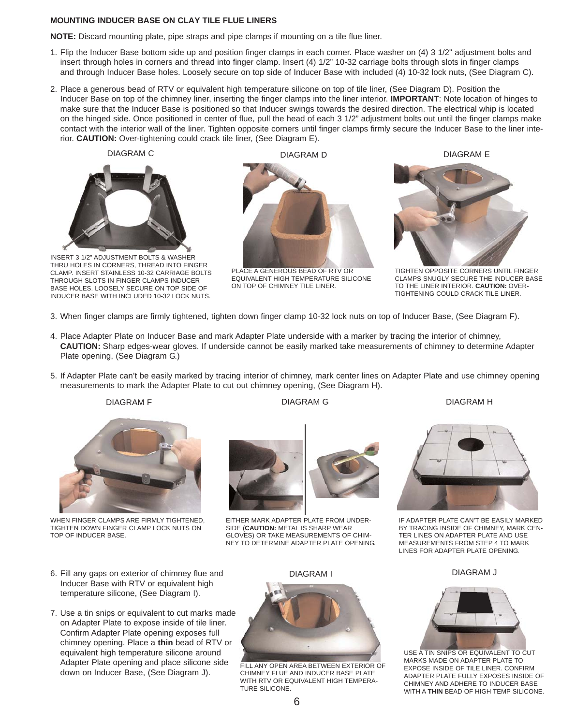#### **MOUNTING INDUCER BASE ON CLAY TILE FLUE LINERS**

**NOTE:** Discard mounting plate, pipe straps and pipe clamps if mounting on a tile flue liner.

- 1. Flip the Inducer Base bottom side up and position finger clamps in each corner. Place washer on (4) 3 1/2" adjustment bolts and insert through holes in corners and thread into finger clamp. Insert (4) 1/2" 10-32 carriage bolts through slots in finger clamps and through Inducer Base holes. Loosely secure on top side of Inducer Base with included (4) 10-32 lock nuts, (See Diagram C).
- 2. Place a generous bead of RTV or equivalent high temperature silicone on top of tile liner, (See Diagram D). Position the Inducer Base on top of the chimney liner, inserting the finger clamps into the liner interior. **IMPORTANT**: Note location of hinges to make sure that the Inducer Base is positioned so that Inducer swings towards the desired direction. The electrical whip is located on the hinged side. Once positioned in center of flue, pull the head of each 3 1/2" adjustment bolts out until the finger clamps make contact with the interior wall of the liner. Tighten opposite corners until finger clamps firmly secure the Inducer Base to the liner interior. **CAUTION:** Over-tightening could crack tile liner, (See Diagram E).





INSERT 3 1/2" ADJUSTMENT BOLTS & WASHER THRU HOLES IN CORNERS, THREAD INTO FINGER CLAMP. INSERT STAINLESS 10-32 CARRIAGE BOLTS THROUGH SLOTS IN FINGER CLAMPS INDUCER BASE HOLES. LOOSELY SECURE ON TOP SIDE OF INDUCER BASE WITH INCLUDED 10-32 LOCK NUTS.

DIAGRAM C DIAGRAM D DIAGRAM E



PLACE A GENEROUS BEAD OF RTV OR EQUIVALENT HIGH TEMPERATURE SILICONE ON TOP OF CHIMNEY TILE LINER.



TIGHTEN OPPOSITE CORNERS UNTIL FINGER CLAMPS SNUGLY SECURE THE INDUCER BASE TO THE LINER INTERIOR. **CAUTION:** OVER-TIGHTENING COULD CRACK TILE LINER.

- 3. When finger clamps are firmly tightened, tighten down finger clamp 10-32 lock nuts on top of Inducer Base, (See Diagram F).
- 4. Place Adapter Plate on Inducer Base and mark Adapter Plate underside with a marker by tracing the interior of chimney, **CAUTION:** Sharp edges-wear gloves. If underside cannot be easily marked take measurements of chimney to determine Adapter Plate opening, (See Diagram G.)
- 5. If Adapter Plate can't be easily marked by tracing interior of chimney, mark center lines on Adapter Plate and use chimney opening measurements to mark the Adapter Plate to cut out chimney opening, (See Diagram H).





WHEN FINGER CLAMPS ARE FIRMLY TIGHTENED, TIGHTEN DOWN FINGER CLAMP LOCK NUTS ON TOP OF INDUCER BASE.

- 6. Fill any gaps on exterior of chimney flue and Inducer Base with RTV or equivalent high temperature silicone, (See Diagram I).
- 7. Use a tin snips or equivalent to cut marks made on Adapter Plate to expose inside of tile liner. Confirm Adapter Plate opening exposes full chimney opening. Place a **thin** bead of RTV or equivalent high temperature silicone around Adapter Plate opening and place silicone side down on Inducer Base, (See Diagram J).



EITHER MARK ADAPTER PLATE FROM UNDER-SIDE (**CAUTION:** METAL IS SHARP WEAR GLOVES) OR TAKE MEASUREMENTS OF CHIM-NEY TO DETERMINE ADAPTER PLATE OPENING.

DIAGRAM I





IF ADAPTER PLATE CAN'T BE EASILY MARKED BY TRACING INSIDE OF CHIMNEY, MARK CEN-TER LINES ON ADAPTER PLATE AND USE MEASUREMENTS FROM STEP 4 TO MARK LINES FOR ADAPTER PLATE OPENING.

DIAGRAM J



USE A TIN SNIPS OR EQUIVALENT TO CUT MARKS MADE ON ADAPTER PLATE TO EXPOSE INSIDE OF TILE LINER. CONFIRM ADAPTER PLATE FULLY EXPOSES INSIDE OF CHIMNEY AND ADHERE TO INDUCER BASE WITH A **THIN** BEAD OF HIGH TEMP SILICONE.



FILL ANY OPEN AREA BETWEEN EXTERIOR OF CHIMNEY FLUE AND INDUCER BASE PLATE WITH RTV OR EQUIVALENT HIGH TEMPERA-TURE SILICONE.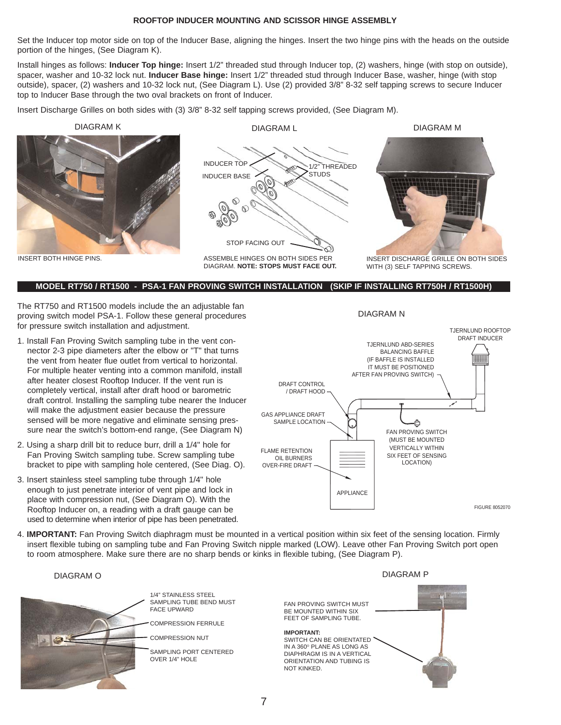#### **ROOFTOP INDUCER MOUNTING AND SCISSOR HINGE ASSEMBLY**

Set the Inducer top motor side on top of the Inducer Base, aligning the hinges. Insert the two hinge pins with the heads on the outside portion of the hinges, (See Diagram K).

Install hinges as follows: **Inducer Top hinge:** Insert 1/2" threaded stud through Inducer top, (2) washers, hinge (with stop on outside), spacer, washer and 10-32 lock nut. **Inducer Base hinge:** Insert 1/2" threaded stud through Inducer Base, washer, hinge (with stop outside), spacer, (2) washers and 10-32 lock nut, (See Diagram L). Use (2) provided 3/8" 8-32 self tapping screws to secure Inducer top to Inducer Base through the two oval brackets on front of Inducer.

Insert Discharge Grilles on both sides with (3) 3/8" 8-32 self tapping screws provided, (See Diagram M).



#### **MODEL RT750 / RT1500 - PSA-1 FAN PROVING SWITCH INSTALLATION (SKIP IF INSTALLING RT750H / RT1500H)**

The RT750 and RT1500 models include the an adjustable fan proving switch model PSA-1. Follow these general procedures for pressure switch installation and adjustment.

- 1. Install Fan Proving Switch sampling tube in the vent connector 2-3 pipe diameters after the elbow or "T" that turns the vent from heater flue outlet from vertical to horizontal. For multiple heater venting into a common manifold, install after heater closest Rooftop Inducer. If the vent run is completely vertical, install after draft hood or barometric draft control. Installing the sampling tube nearer the Inducer will make the adjustment easier because the pressure sensed will be more negative and eliminate sensing pressure near the switch's bottom-end range, (See Diagram N)
- 2. Using a sharp drill bit to reduce burr, drill a 1/4" hole for Fan Proving Switch sampling tube. Screw sampling tube bracket to pipe with sampling hole centered, (See Diag. O).
- 3. Insert stainless steel sampling tube through 1/4" hole enough to just penetrate interior of vent pipe and lock in place with compression nut, (See Diagram O). With the Rooftop Inducer on, a reading with a draft gauge can be used to determine when interior of pipe has been penetrated.



4. **IMPORTANT:** Fan Proving Switch diaphragm must be mounted in a vertical position within six feet of the sensing location. Firmly insert flexible tubing on sampling tube and Fan Proving Switch nipple marked (LOW). Leave other Fan Proving Switch port open to room atmosphere. Make sure there are no sharp bends or kinks in flexible tubing, (See Diagram P).

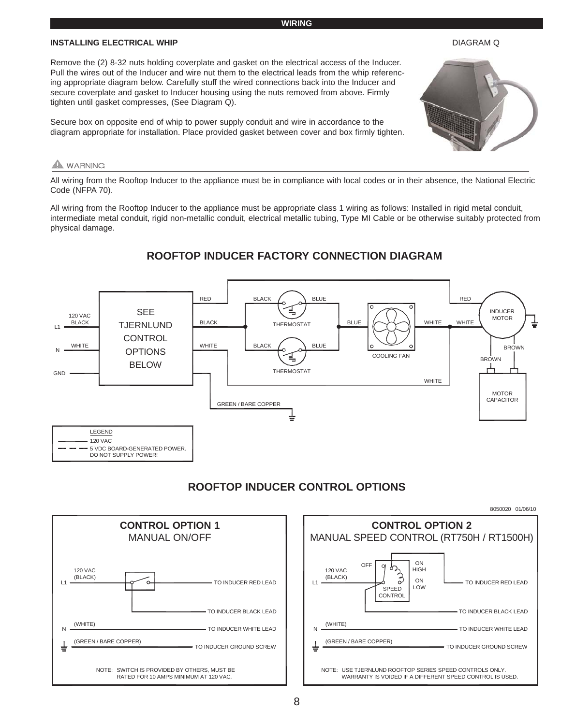## **WIRING**

#### **INSTALLING ELECTRICAL WHIP**

#### DIAGRAM Q

Remove the (2) 8-32 nuts holding coverplate and gasket on the electrical access of the Inducer. Pull the wires out of the Inducer and wire nut them to the electrical leads from the whip referencing appropriate diagram below. Carefully stuff the wired connections back into the Inducer and secure coverplate and gasket to Inducer housing using the nuts removed from above. Firmly tighten until gasket compresses, (See Diagram Q).

Secure box on opposite end of whip to power supply conduit and wire in accordance to the diagram appropriate for installation. Place provided gasket between cover and box firmly tighten.

# **WARNING**

All wiring from the Rooftop Inducer to the appliance must be in compliance with local codes or in their absence, the National Electric Code (NFPA 70).

All wiring from the Rooftop Inducer to the appliance must be appropriate class 1 wiring as follows: Installed in rigid metal conduit, intermediate metal conduit, rigid non-metallic conduit, electrical metallic tubing, Type MI Cable or be otherwise suitably protected from physical damage.

# **ROOFTOP INDUCER FACTORY CONNECTION DIAGRAM**



# **ROOFTOP INDUCER CONTROL OPTIONS**



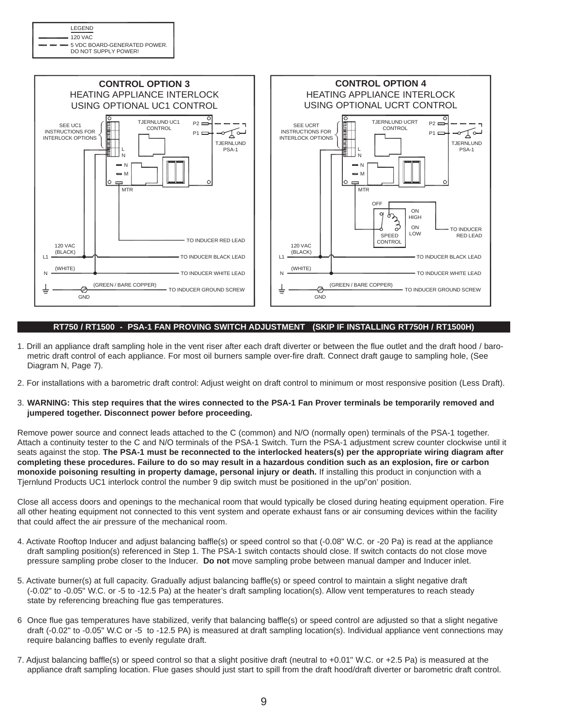| LEGEND                                                    |
|-----------------------------------------------------------|
|                                                           |
| $ -$ 5 VDC BOARD-GENERATED POWER.<br>DO NOT SUPPLY POWER! |



#### **RT750 / RT1500 - PSA-1 FAN PROVING SWITCH ADJUSTMENT (SKIP IF INSTALLING RT750H / RT1500H)**

- 1. Drill an appliance draft sampling hole in the vent riser after each draft diverter or between the flue outlet and the draft hood / barometric draft control of each appliance. For most oil burners sample over-fire draft. Connect draft gauge to sampling hole, (See Diagram N, Page 7).
- 2. For installations with a barometric draft control: Adjust weight on draft control to minimum or most responsive position (Less Draft).
- 3. **WARNING: This step requires that the wires connected to the PSA-1 Fan Prover terminals be temporarily removed and jumpered together. Disconnect power before proceeding.**

Remove power source and connect leads attached to the C (common) and N/O (normally open) terminals of the PSA-1 together. Attach a continuity tester to the C and N/O terminals of the PSA-1 Switch. Turn the PSA-1 adjustment screw counter clockwise until it seats against the stop. **The PSA-1 must be reconnected to the interlocked heaters(s) per the appropriate wiring diagram after completing these procedures. Failure to do so may result in a hazardous condition such as an explosion, fire or carbon monoxide poisoning resulting in property damage, personal injury or death.** If installing this product in conjunction with a Tjernlund Products UC1 interlock control the number 9 dip switch must be positioned in the up/'on' position.

Close all access doors and openings to the mechanical room that would typically be closed during heating equipment operation. Fire all other heating equipment not connected to this vent system and operate exhaust fans or air consuming devices within the facility that could affect the air pressure of the mechanical room.

- 4. Activate Rooftop Inducer and adjust balancing baffle(s) or speed control so that (-0.08" W.C. or -20 Pa) is read at the appliance draft sampling position(s) referenced in Step 1. The PSA-1 switch contacts should close. If switch contacts do not close move pressure sampling probe closer to the Inducer. **Do not** move sampling probe between manual damper and Inducer inlet.
- 5. Activate burner(s) at full capacity. Gradually adjust balancing baffle(s) or speed control to maintain a slight negative draft (-0.02" to -0.05" W.C. or -5 to -12.5 Pa) at the heater's draft sampling location(s). Allow vent temperatures to reach steady state by referencing breaching flue gas temperatures.
- 6 Once flue gas temperatures have stabilized, verify that balancing baffle(s) or speed control are adjusted so that a slight negative draft (-0.02" to -0.05" W.C or -5 to -12.5 PA) is measured at draft sampling location(s). Individual appliance vent connections may require balancing baffles to evenly regulate draft.
- 7. Adjust balancing baffle(s) or speed control so that a slight positive draft (neutral to +0.01" W.C. or +2.5 Pa) is measured at the appliance draft sampling location. Flue gases should just start to spill from the draft hood/draft diverter or barometric draft control.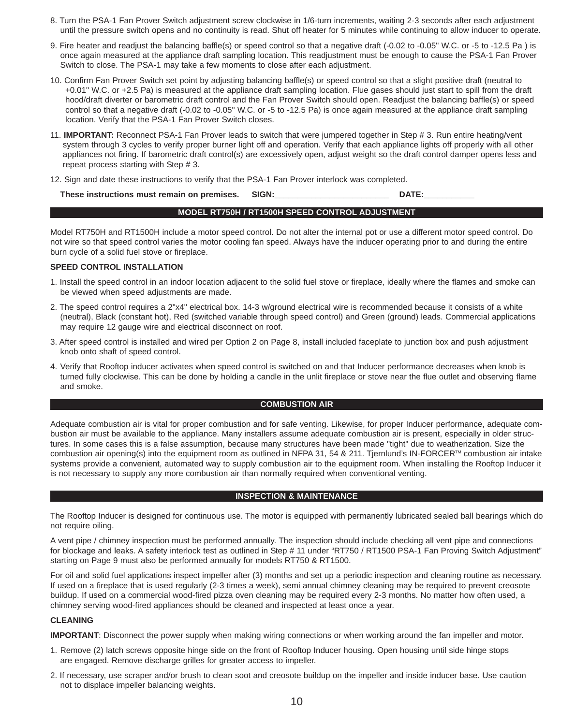- 8. Turn the PSA-1 Fan Prover Switch adjustment screw clockwise in 1/6-turn increments, waiting 2-3 seconds after each adjustment until the pressure switch opens and no continuity is read. Shut off heater for 5 minutes while continuing to allow inducer to operate.
- 9. Fire heater and readjust the balancing baffle(s) or speed control so that a negative draft (-0.02 to -0.05" W.C. or -5 to -12.5 Pa ) is once again measured at the appliance draft sampling location. This readjustment must be enough to cause the PSA-1 Fan Prover Switch to close. The PSA-1 may take a few moments to close after each adjustment.
- 10. Confirm Fan Prover Switch set point by adjusting balancing baffle(s) or speed control so that a slight positive draft (neutral to +0.01" W.C. or +2.5 Pa) is measured at the appliance draft sampling location. Flue gases should just start to spill from the draft hood/draft diverter or barometric draft control and the Fan Prover Switch should open. Readjust the balancing baffle(s) or speed control so that a negative draft (-0.02 to -0.05" W.C. or -5 to -12.5 Pa) is once again measured at the appliance draft sampling location. Verify that the PSA-1 Fan Prover Switch closes.
- 11. **IMPORTANT:** Reconnect PSA-1 Fan Prover leads to switch that were jumpered together in Step # 3. Run entire heating/vent system through 3 cycles to verify proper burner light off and operation. Verify that each appliance lights off properly with all other appliances not firing. If barometric draft control(s) are excessively open, adjust weight so the draft control damper opens less and repeat process starting with Step # 3.
- 12. Sign and date these instructions to verify that the PSA-1 Fan Prover interlock was completed.

These instructions must remain on premises. SIGN: **Example 2018** SIGN:

#### **MODEL RT750H / RT1500H SPEED CONTROL ADJUSTMENT**

Model RT750H and RT1500H include a motor speed control. Do not alter the internal pot or use a different motor speed control. Do not wire so that speed control varies the motor cooling fan speed. Always have the inducer operating prior to and during the entire burn cycle of a solid fuel stove or fireplace.

## **SPEED CONTROL INSTALLATION**

- 1. Install the speed control in an indoor location adjacent to the solid fuel stove or fireplace, ideally where the flames and smoke can be viewed when speed adjustments are made.
- 2. The speed control requires a 2"x4" electrical box. 14-3 w/ground electrical wire is recommended because it consists of a white (neutral), Black (constant hot), Red (switched variable through speed control) and Green (ground) leads. Commercial applications may require 12 gauge wire and electrical disconnect on roof.
- 3. After speed control is installed and wired per Option 2 on Page 8, install included faceplate to junction box and push adjustment knob onto shaft of speed control.
- 4. Verify that Rooftop inducer activates when speed control is switched on and that Inducer performance decreases when knob is turned fully clockwise. This can be done by holding a candle in the unlit fireplace or stove near the flue outlet and observing flame and smoke.

#### **COMBUSTION AIR**

Adequate combustion air is vital for proper combustion and for safe venting. Likewise, for proper Inducer performance, adequate combustion air must be available to the appliance. Many installers assume adequate combustion air is present, especially in older structures. In some cases this is a false assumption, because many structures have been made "tight" due to weatherization. Size the combustion air opening(s) into the equipment room as outlined in NFPA 31, 54 & 211. Tjernlund's IN-FORCER<sup>TM</sup> combustion air intake systems provide a convenient, automated way to supply combustion air to the equipment room. When installing the Rooftop Inducer it is not necessary to supply any more combustion air than normally required when conventional venting.

#### **INSPECTION & MAINTENANCE**

The Rooftop Inducer is designed for continuous use. The motor is equipped with permanently lubricated sealed ball bearings which do not require oiling.

A vent pipe / chimney inspection must be performed annually. The inspection should include checking all vent pipe and connections for blockage and leaks. A safety interlock test as outlined in Step # 11 under "RT750 / RT1500 PSA-1 Fan Proving Switch Adjustment" starting on Page 9 must also be performed annually for models RT750 & RT1500.

For oil and solid fuel applications inspect impeller after (3) months and set up a periodic inspection and cleaning routine as necessary. If used on a fireplace that is used regularly (2-3 times a week), semi annual chimney cleaning may be required to prevent creosote buildup. If used on a commercial wood-fired pizza oven cleaning may be required every 2-3 months. No matter how often used, a chimney serving wood-fired appliances should be cleaned and inspected at least once a year.

#### **CLEANING**

**IMPORTANT**: Disconnect the power supply when making wiring connections or when working around the fan impeller and motor.

- 1. Remove (2) latch screws opposite hinge side on the front of Rooftop Inducer housing. Open housing until side hinge stops are engaged. Remove discharge grilles for greater access to impeller.
- 2. If necessary, use scraper and/or brush to clean soot and creosote buildup on the impeller and inside inducer base. Use caution not to displace impeller balancing weights.